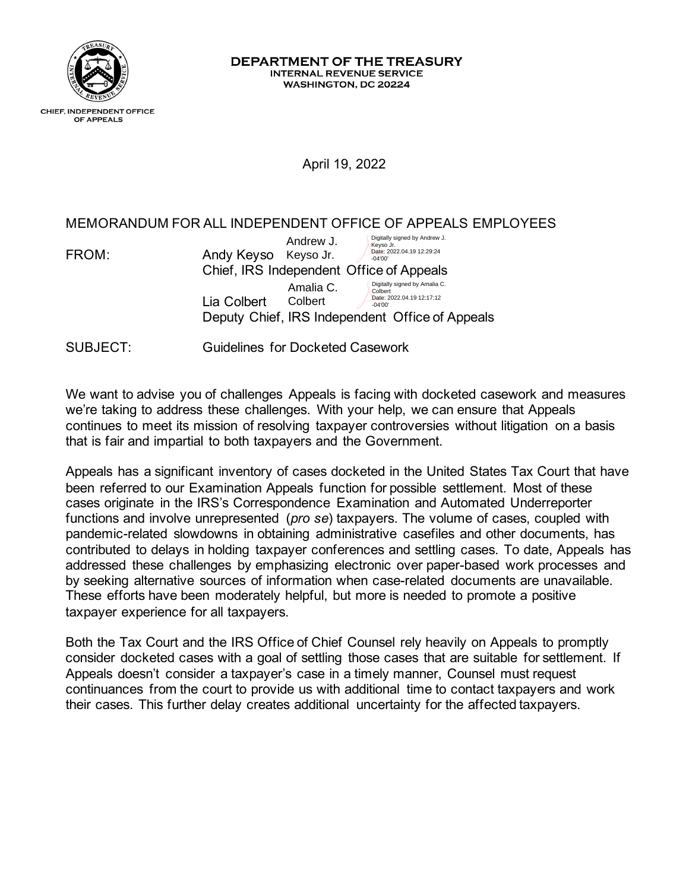

## DEPARTMENT OF THE TREASURY **INTERNAL REVENUE SERVICE** WASHINGTON, DC 20224

## April 19, 2022

## MEMORANDUM FOR ALL INDEPENDENT OFFICE OF APPEALS EMPLOYEES

| FROM: | Digitally signed by Andrew J.<br>Andrew J.<br>Keyso Jr.<br>Date: 2022.04.19 12:29:24<br>Andy Keyso Keyso Jr.<br>$-04'00'$                                                    |  |
|-------|------------------------------------------------------------------------------------------------------------------------------------------------------------------------------|--|
|       | Chief, IRS Independent Office of Appeals                                                                                                                                     |  |
|       | Digitally signed by Amalia C.<br>Amalia C.<br>Colbert<br>Date: 2022.04.19 12:17:12<br>Lia Colbert<br>Colbert<br>$-04'00'$<br>Deputy Chief, IRS Independent Office of Appeals |  |

SUBJECT: Guidelines for Docketed Casework

We want to advise you of challenges Appeals is facing with docketed casework and measures we're taking to address these challenges. With your help, we can ensure that Appeals continues to meet its mission of resolving taxpayer controversies without litigation on a basis that is fair and impartial to both taxpayers and the Government.

Appeals has a significant inventory of cases docketed in the United States Tax Court that have been referred to our Examination Appeals function for possible settlement. Most of these cases originate in the IRS's Correspondence Examination and Automated Underreporter functions and involve unrepresented (*pro se*) taxpayers. The volume of cases, coupled with pandemic-related slowdowns in obtaining administrative casefiles and other documents, has contributed to delays in holding taxpayer conferences and settling cases. To date, Appeals has addressed these challenges by emphasizing electronic over paper-based work processes and by seeking alternative sources of information when case-related documents are unavailable. These efforts have been moderately helpful, but more is needed to promote a positive taxpayer experience for all taxpayers.

Both the Tax Court and the IRS Office of Chief Counsel rely heavily on Appeals to promptly consider docketed cases with a goal of settling those cases that are suitable for settlement. If Appeals doesn't consider a taxpayer's case in a timely manner, Counsel must request continuances from the court to provide us with additional time to contact taxpayers and work their cases. This further delay creates additional uncertainty for the affected taxpayers.